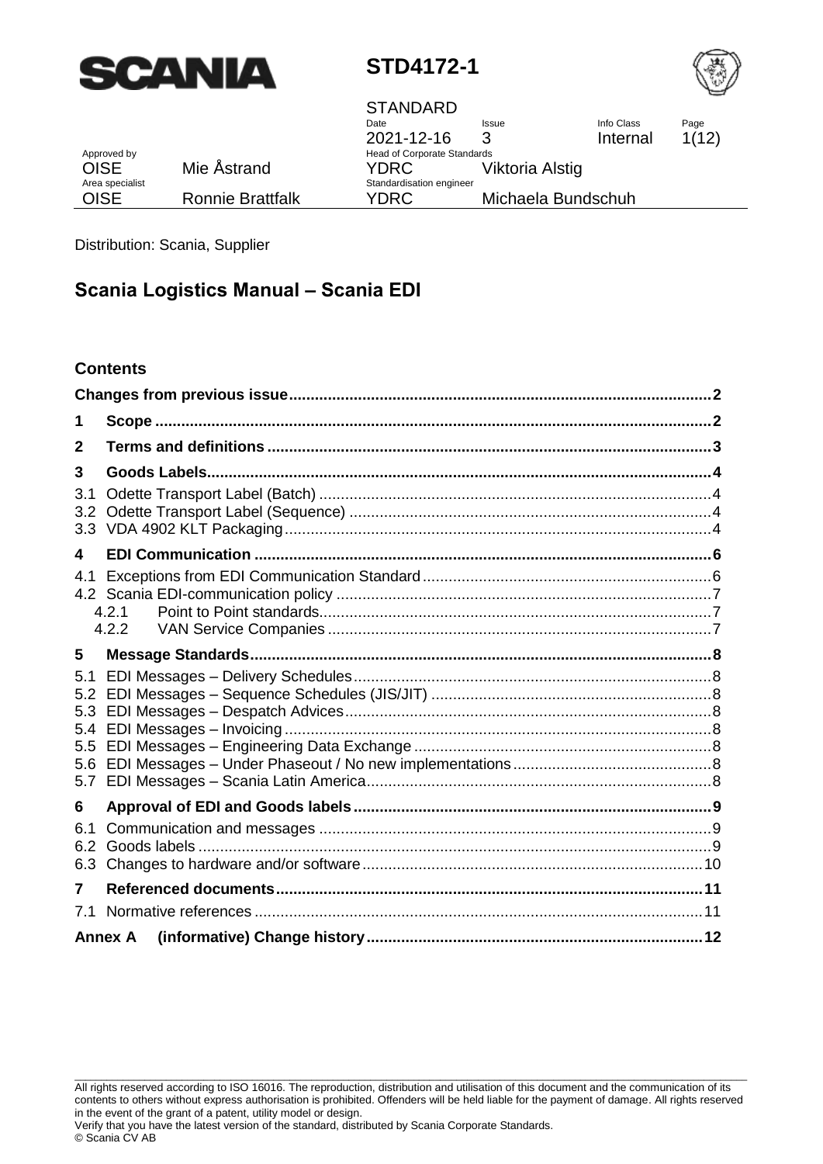



|                 |                         | <b>STANDARD</b><br>Date            | <b>Issue</b>       | Info Class | Page  |
|-----------------|-------------------------|------------------------------------|--------------------|------------|-------|
|                 |                         | 2021-12-16                         | 3                  | Internal   | 1(12) |
| Approved by     |                         | <b>Head of Corporate Standards</b> |                    |            |       |
| <b>OISE</b>     | Mie Åstrand             | YDRC.                              | Viktoria Alstig    |            |       |
| Area specialist |                         | Standardisation engineer           |                    |            |       |
| <b>OISE</b>     | <b>Ronnie Brattfalk</b> | YDRC                               | Michaela Bundschuh |            |       |

Distribution: Scania, Supplier

# **Scania Logistics Manual – Scania EDI**

#### **Contents**

| 1                                             |                |  |
|-----------------------------------------------|----------------|--|
| 2                                             |                |  |
| 3                                             |                |  |
| 3.1<br>3.2<br>3.3                             |                |  |
| 4                                             |                |  |
| 4.1                                           | 4.2.1<br>4.2.2 |  |
| 5                                             |                |  |
| 5.1<br>5.2<br>5.3<br>5.4<br>5.5<br>5.6<br>5.7 |                |  |
| 6                                             |                |  |
| 6.1<br>6.2<br>6.3                             |                |  |
| 7                                             |                |  |
| 7.1                                           |                |  |
|                                               | <b>Annex A</b> |  |

\_\_\_\_\_\_\_\_\_\_\_\_\_\_\_\_\_\_\_\_\_\_\_\_\_\_\_\_\_\_\_\_\_\_\_\_\_\_\_\_\_\_\_\_\_\_\_\_\_\_\_\_\_\_\_\_\_\_\_\_\_\_\_\_\_\_\_\_\_\_\_\_\_\_\_\_\_\_\_\_\_\_\_\_\_\_\_\_\_\_\_\_\_\_\_\_\_\_\_\_\_\_\_\_\_\_\_\_\_\_\_\_\_\_\_\_\_\_\_\_\_\_\_\_\_ All rights reserved according to ISO 16016. The reproduction, distribution and utilisation of this document and the communication of its contents to others without express authorisation is prohibited. Offenders will be held liable for the payment of damage. All rights reserved in the event of the grant of a patent, utility model or design.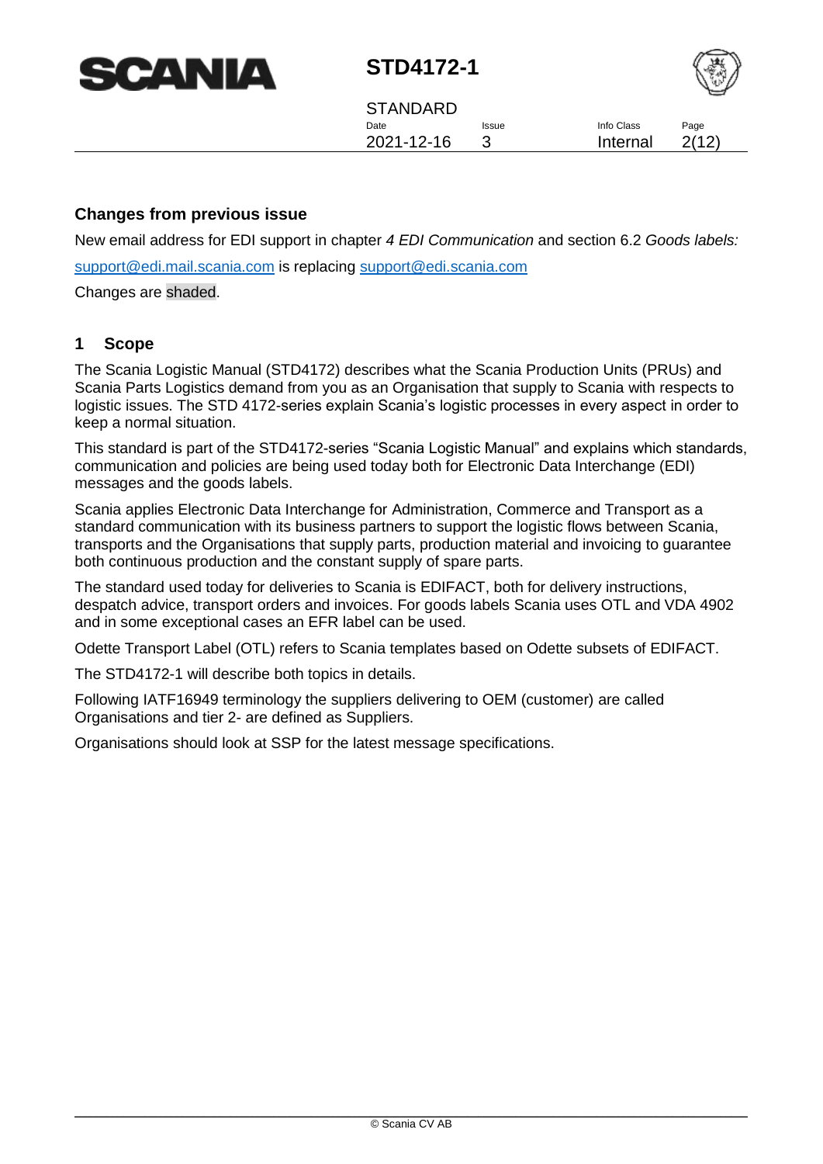| <b>SCANIA</b> |  |
|---------------|--|
|---------------|--|



**STANDARD** Date 2021-12-16 Issue 3 Info Class Internal Page 2(12)

#### <span id="page-1-0"></span>**Changes from previous issue**

New email address for EDI support in chapter *[4](#page-5-0) [EDI Communication](#page-5-0)* and section [6.2](#page-8-2) *[Goods labels:](#page-8-2)*

[support@edi.mail.scania.com](mailto:support@edi.mail.scania.com) is replacing [support@edi.scania.com](mailto:support@edi.scania.com)

<span id="page-1-1"></span>Changes are shaded.

#### **1 Scope**

The Scania Logistic Manual (STD4172) describes what the Scania Production Units (PRUs) and Scania Parts Logistics demand from you as an Organisation that supply to Scania with respects to logistic issues. The STD 4172-series explain Scania's logistic processes in every aspect in order to keep a normal situation.

This standard is part of the STD4172-series "Scania Logistic Manual" and explains which standards, communication and policies are being used today both for Electronic Data Interchange (EDI) messages and the goods labels.

Scania applies Electronic Data Interchange for Administration, Commerce and Transport as a standard communication with its business partners to support the logistic flows between Scania, transports and the Organisations that supply parts, production material and invoicing to guarantee both continuous production and the constant supply of spare parts.

The standard used today for deliveries to Scania is EDIFACT, both for delivery instructions, despatch advice, transport orders and invoices. For goods labels Scania uses OTL and VDA 4902 and in some exceptional cases an EFR label can be used.

Odette Transport Label (OTL) refers to Scania templates based on Odette subsets of EDIFACT.

The STD4172-1 will describe both topics in details.

Following IATF16949 terminology the suppliers delivering to OEM (customer) are called Organisations and tier 2- are defined as Suppliers.

Organisations should look at SSP for the latest message specifications.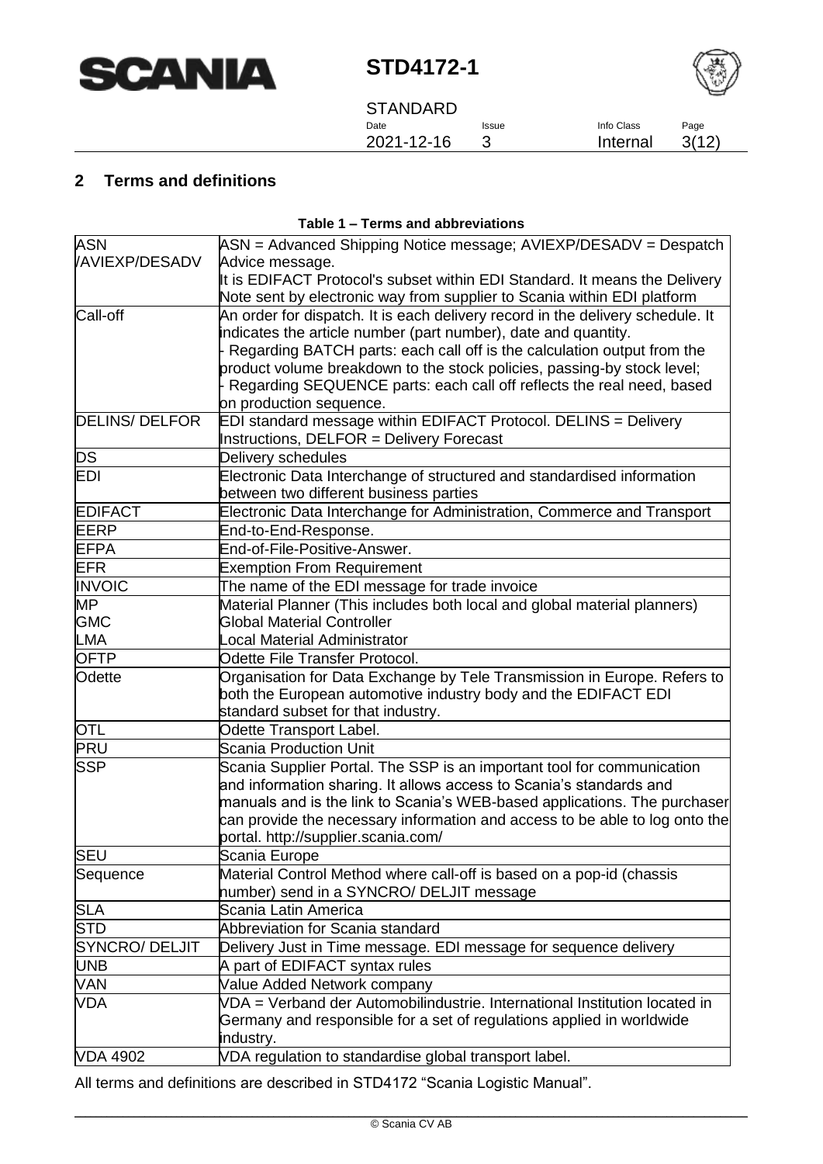



**STANDARD** Date 2021-12-16

Issue 3

#### Page 3(12)

## <span id="page-2-0"></span>**2 Terms and definitions**

| Table 1 – Terms and abbreviations |                                                                                |  |
|-----------------------------------|--------------------------------------------------------------------------------|--|
| <b>ASN</b>                        | ASN = Advanced Shipping Notice message; AVIEXP/DESADV = Despatch               |  |
| <b>/AVIEXP/DESADV</b>             | Advice message.                                                                |  |
|                                   | It is EDIFACT Protocol's subset within EDI Standard. It means the Delivery     |  |
|                                   | Note sent by electronic way from supplier to Scania within EDI platform        |  |
| Call-off                          | An order for dispatch. It is each delivery record in the delivery schedule. It |  |
|                                   | indicates the article number (part number), date and quantity.                 |  |
|                                   | Regarding BATCH parts: each call off is the calculation output from the        |  |
|                                   | product volume breakdown to the stock policies, passing-by stock level;        |  |
|                                   | Regarding SEQUENCE parts: each call off reflects the real need, based          |  |
|                                   | on production sequence.                                                        |  |
| <b>DELINS/DELFOR</b>              | EDI standard message within EDIFACT Protocol. DELINS = Delivery                |  |
|                                   | Instructions, DELFOR = Delivery Forecast                                       |  |
| DS                                | Delivery schedules                                                             |  |
| EDI                               | Electronic Data Interchange of structured and standardised information         |  |
|                                   | between two different business parties                                         |  |
| <b>EDIFACT</b>                    | Electronic Data Interchange for Administration, Commerce and Transport         |  |
| EERP                              | End-to-End-Response.                                                           |  |
| <b>EFPA</b>                       | End-of-File-Positive-Answer.                                                   |  |
| <b>EFR</b>                        | <b>Exemption From Requirement</b>                                              |  |
| <b>INVOIC</b>                     | The name of the EDI message for trade invoice                                  |  |
| <b>MP</b>                         | Material Planner (This includes both local and global material planners)       |  |
| <b>GMC</b>                        | <b>Global Material Controller</b>                                              |  |
| LMA                               | ocal Material Administrator.                                                   |  |
| <b>OFTP</b>                       | Odette File Transfer Protocol.                                                 |  |
| Odette                            | Organisation for Data Exchange by Tele Transmission in Europe. Refers to       |  |
|                                   | both the European automotive industry body and the EDIFACT EDI                 |  |
|                                   | standard subset for that industry.                                             |  |
| <b>OTL</b>                        | Odette Transport Label.                                                        |  |
| <b>PRU</b>                        | <b>Scania Production Unit</b>                                                  |  |
| <b>SSP</b>                        | Scania Supplier Portal. The SSP is an important tool for communication         |  |
|                                   | and information sharing. It allows access to Scania's standards and            |  |
|                                   | manuals and is the link to Scania's WEB-based applications. The purchaser      |  |
|                                   | can provide the necessary information and access to be able to log onto the    |  |
|                                   | portal. http://supplier.scania.com/                                            |  |
| <b>SEU</b>                        | Scania Europe                                                                  |  |
| Sequence                          | Material Control Method where call-off is based on a pop-id (chassis           |  |
|                                   | number) send in a SYNCRO/ DELJIT message                                       |  |
| <b>SLA</b>                        | Scania Latin America                                                           |  |
| <b>STD</b>                        | Abbreviation for Scania standard                                               |  |
| <b>SYNCRO/ DELJIT</b>             | Delivery Just in Time message. EDI message for sequence delivery               |  |
| <b>UNB</b>                        | A part of EDIFACT syntax rules                                                 |  |
| <b>VAN</b>                        | Value Added Network company                                                    |  |
| VDA                               | VDA = Verband der Automobilindustrie, International Institution located in     |  |
|                                   | Germany and responsible for a set of regulations applied in worldwide          |  |
|                                   | industry.                                                                      |  |

All terms and definitions are described in STD4172 "Scania Logistic Manual".

VDA 4902 VDA regulation to standardise global transport label.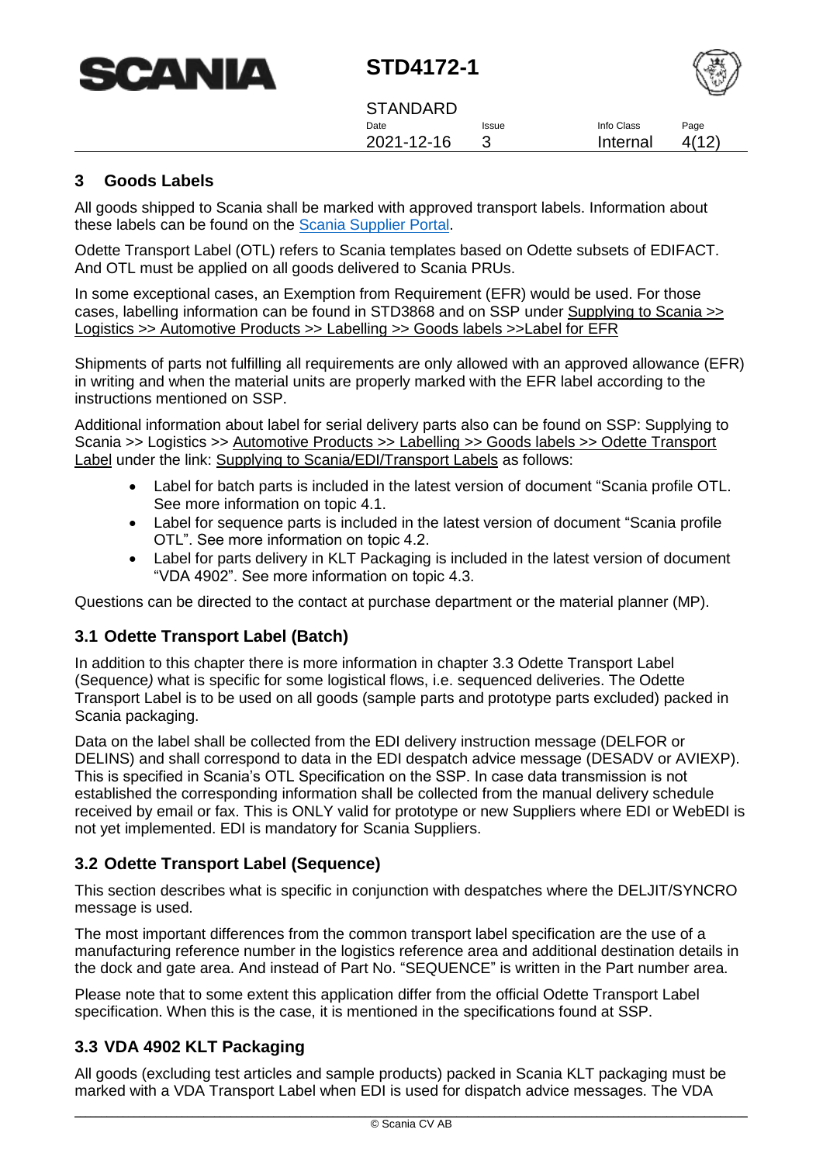



**STANDARD** Date 2021-12-16 Issue 3 Info Class Internal Page 4(12)

#### <span id="page-3-0"></span>**3 Goods Labels**

All goods shipped to Scania shall be marked with approved transport labels. Information about these labels can be found on the [Scania Supplier Portal.](https://supplier.scania.com/supplying-to-scania/edi/transport-labels/)

Odette Transport Label (OTL) refers to Scania templates based on Odette subsets of EDIFACT. And OTL must be applied on all goods delivered to Scania PRUs.

In some exceptional cases, an Exemption from Requirement (EFR) would be used. For those cases, labelling information can be found in STD3868 and on SSP under Supplying to Scania >> Logistics >> Automotive Products >> Labelling >> Goods labels >>Label for EFR

Shipments of parts not fulfilling all requirements are only allowed with an approved allowance (EFR) in writing and when the material units are properly marked with the EFR label according to the instructions mentioned on SSP.

Additional information about label for serial delivery parts also can be found on SSP: Supplying to Scania >> Logistics >> Automotive Products >> Labelling >> Goods labels >> Odette Transport Label under the link: Supplying to Scania/EDI/Transport Labels as follows:

- Label for batch parts is included in the latest version of document "Scania profile OTL. See more information on topic 4.1.
- Label for sequence parts is included in the latest version of document "Scania profile OTL". See more information on topic 4.2.
- Label for parts delivery in KLT Packaging is included in the latest version of document "VDA 4902". See more information on topic 4.3.

<span id="page-3-1"></span>Questions can be directed to the contact at purchase department or the material planner (MP).

#### **3.1 Odette Transport Label (Batch)**

In addition to this chapter there is more information in chapter 3.3 [Odette Transport Label](#page-3-2)  [\(Sequence](#page-3-2)*)* what is specific for some logistical flows, i.e. sequenced deliveries. The Odette Transport Label is to be used on all goods (sample parts and prototype parts excluded) packed in Scania packaging.

Data on the label shall be collected from the EDI delivery instruction message (DELFOR or DELINS) and shall correspond to data in the EDI despatch advice message (DESADV or AVIEXP). This is specified in Scania's OTL Specification on the SSP. In case data transmission is not established the corresponding information shall be collected from the manual delivery schedule received by email or fax. This is ONLY valid for prototype or new Suppliers where EDI or WebEDI is not yet implemented. EDI is mandatory for Scania Suppliers.

## <span id="page-3-2"></span>**3.2 Odette Transport Label (Sequence)**

This section describes what is specific in conjunction with despatches where the DELJIT/SYNCRO message is used.

The most important differences from the common transport label specification are the use of a manufacturing reference number in the logistics reference area and additional destination details in the dock and gate area. And instead of Part No. "SEQUENCE" is written in the Part number area.

Please note that to some extent this application differ from the official Odette Transport Label specification. When this is the case, it is mentioned in the specifications found at SSP.

## <span id="page-3-3"></span>**3.3 VDA 4902 KLT Packaging**

All goods (excluding test articles and sample products) packed in Scania KLT packaging must be marked with a VDA Transport Label when EDI is used for dispatch advice messages. The VDA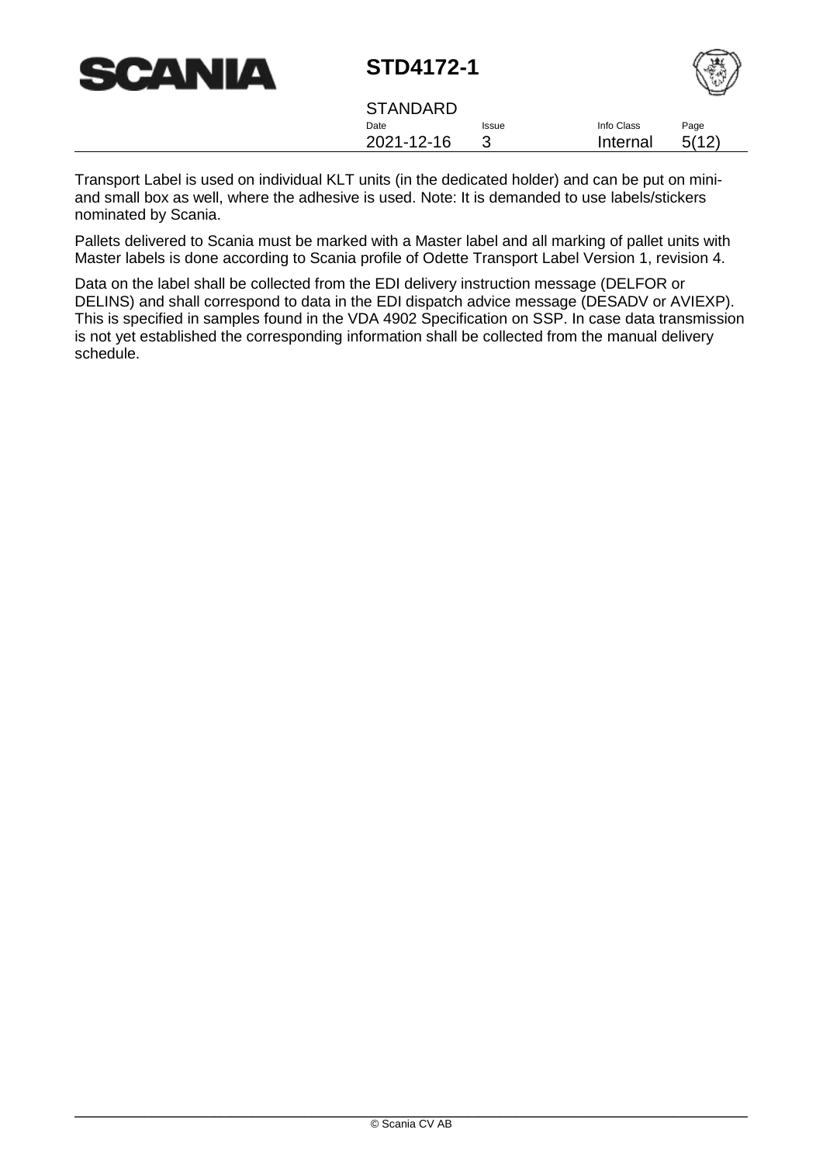

| <b>STANDARD</b> |              |            |       |
|-----------------|--------------|------------|-------|
| Date            | <b>Issue</b> | Info Class | Page  |
| 2021-12-16      |              | Internal   | 5(12) |
|                 |              |            |       |

Transport Label is used on individual KLT units (in the dedicated holder) and can be put on miniand small box as well, where the adhesive is used. Note: It is demanded to use labels/stickers nominated by Scania.

Pallets delivered to Scania must be marked with a Master label and all marking of pallet units with Master labels is done according to Scania profile of Odette Transport Label Version 1, revision 4.

Data on the label shall be collected from the EDI delivery instruction message (DELFOR or DELINS) and shall correspond to data in the EDI dispatch advice message (DESADV or AVIEXP). This is specified in samples found in the VDA 4902 Specification on SSP. In case data transmission is not yet established the corresponding information shall be collected from the manual delivery schedule.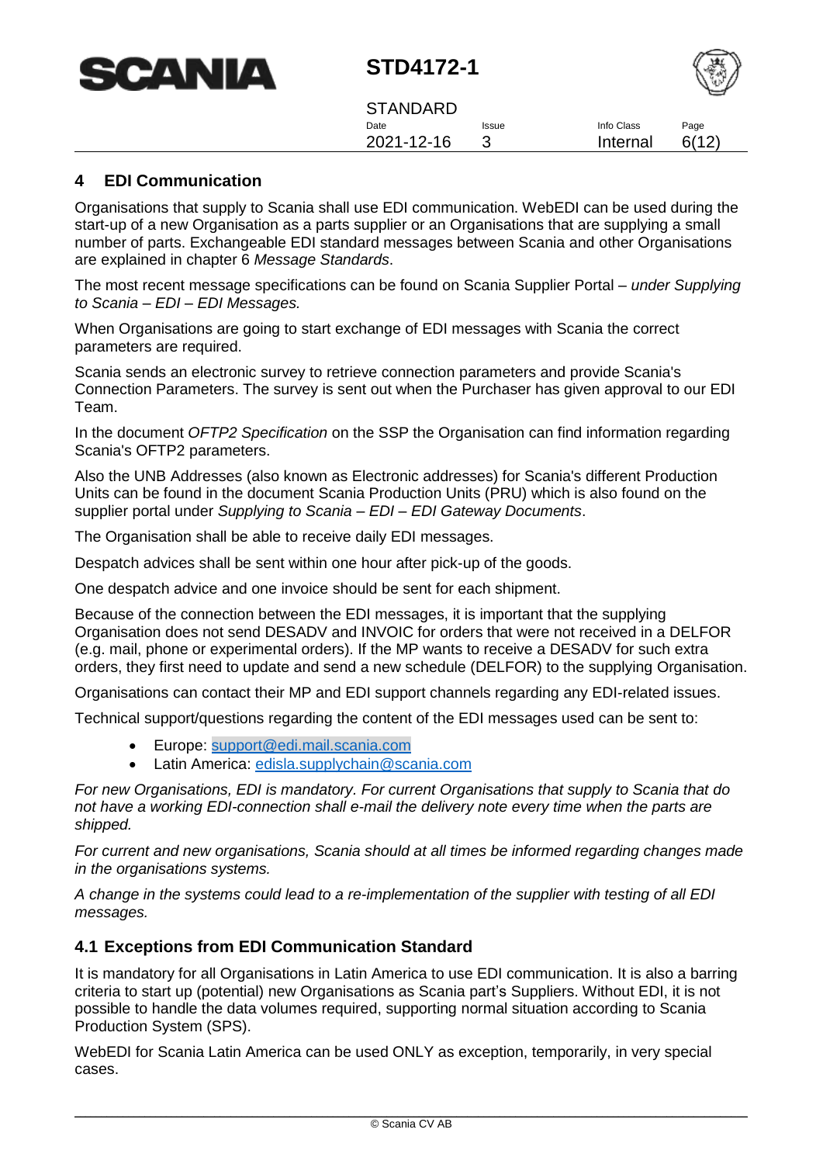| <b>SCANIA</b> |
|---------------|
|---------------|



**STANDARD** Date 2021-12-16 Issue 3 Info Class Internal Page 6(12)

#### <span id="page-5-0"></span>**4 EDI Communication**

Organisations that supply to Scania shall use EDI communication. WebEDI can be used during the start-up of a new Organisation as a parts supplier or an Organisations that are supplying a small number of parts. Exchangeable EDI standard messages between Scania and other Organisations are explained in chapter 6 *[Message Standards](#page-7-0)*.

The most recent message specifications can be found on Scania Supplier Portal – *under Supplying to Scania – EDI – EDI Messages.*

When Organisations are going to start exchange of EDI messages with Scania the correct parameters are required.

Scania sends an electronic survey to retrieve connection parameters and provide Scania's Connection Parameters. The survey is sent out when the Purchaser has given approval to our EDI Team.

In the document *OFTP2 Specification* on the SSP the Organisation can find information regarding Scania's OFTP2 parameters.

Also the UNB Addresses (also known as Electronic addresses) for Scania's different Production Units can be found in the document Scania Production Units (PRU) which is also found on the supplier portal under *Supplying to Scania – EDI – EDI Gateway Documents*.

The Organisation shall be able to receive daily EDI messages.

Despatch advices shall be sent within one hour after pick-up of the goods.

One despatch advice and one invoice should be sent for each shipment.

Because of the connection between the EDI messages, it is important that the supplying Organisation does not send DESADV and INVOIC for orders that were not received in a DELFOR (e.g. mail, phone or experimental orders). If the MP wants to receive a DESADV for such extra orders, they first need to update and send a new schedule (DELFOR) to the supplying Organisation.

Organisations can contact their MP and EDI support channels regarding any EDI-related issues.

Technical support/questions regarding the content of the EDI messages used can be sent to:

- Europe: [support@edi.mail.scania.com](mailto:support@edi.mail.scania.com)
- Latin America: [edisla.supplychain@scania.com](mailto:edisla.supplychain@scania.com)

*For new Organisations, EDI is mandatory. For current Organisations that supply to Scania that do not have a working EDI-connection shall e-mail the delivery note every time when the parts are shipped.*

*For current and new organisations, Scania should at all times be informed regarding changes made in the organisations systems.* 

*A change in the systems could lead to a re-implementation of the supplier with testing of all EDI messages.*

#### <span id="page-5-1"></span>**4.1 Exceptions from EDI Communication Standard**

It is mandatory for all Organisations in Latin America to use EDI communication. It is also a barring criteria to start up (potential) new Organisations as Scania part's Suppliers. Without EDI, it is not possible to handle the data volumes required, supporting normal situation according to Scania Production System (SPS).

WebEDI for Scania Latin America can be used ONLY as exception, temporarily, in very special cases.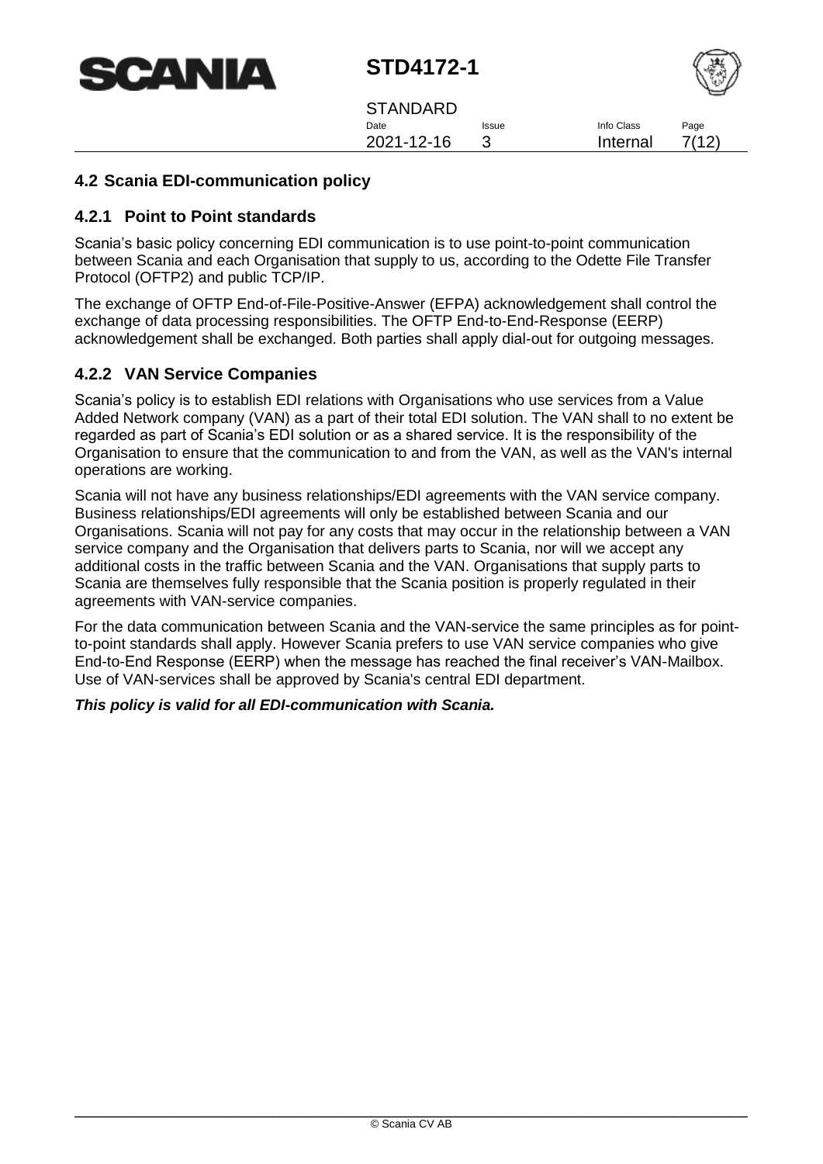



**STANDARD** Date 2021-12-16 Issue 3 Info Class Internal Page 7(12)

#### <span id="page-6-0"></span>**4.2 Scania EDI-communication policy**

#### <span id="page-6-1"></span>**4.2.1 Point to Point standards**

Scania's basic policy concerning EDI communication is to use point-to-point communication between Scania and each Organisation that supply to us, according to the Odette File Transfer Protocol (OFTP2) and public TCP/IP.

The exchange of OFTP End-of-File-Positive-Answer (EFPA) acknowledgement shall control the exchange of data processing responsibilities. The OFTP End-to-End-Response (EERP) acknowledgement shall be exchanged. Both parties shall apply dial-out for outgoing messages.

#### <span id="page-6-2"></span>**4.2.2 VAN Service Companies**

Scania's policy is to establish EDI relations with Organisations who use services from a Value Added Network company (VAN) as a part of their total EDI solution. The VAN shall to no extent be regarded as part of Scania's EDI solution or as a shared service. It is the responsibility of the Organisation to ensure that the communication to and from the VAN, as well as the VAN's internal operations are working.

Scania will not have any business relationships/EDI agreements with the VAN service company. Business relationships/EDI agreements will only be established between Scania and our Organisations. Scania will not pay for any costs that may occur in the relationship between a VAN service company and the Organisation that delivers parts to Scania, nor will we accept any additional costs in the traffic between Scania and the VAN. Organisations that supply parts to Scania are themselves fully responsible that the Scania position is properly regulated in their agreements with VAN-service companies.

For the data communication between Scania and the VAN-service the same principles as for pointto-point standards shall apply. However Scania prefers to use VAN service companies who give End-to-End Response (EERP) when the message has reached the final receiver's VAN-Mailbox. Use of VAN-services shall be approved by Scania's central EDI department.

#### *This policy is valid for all EDI-communication with Scania.*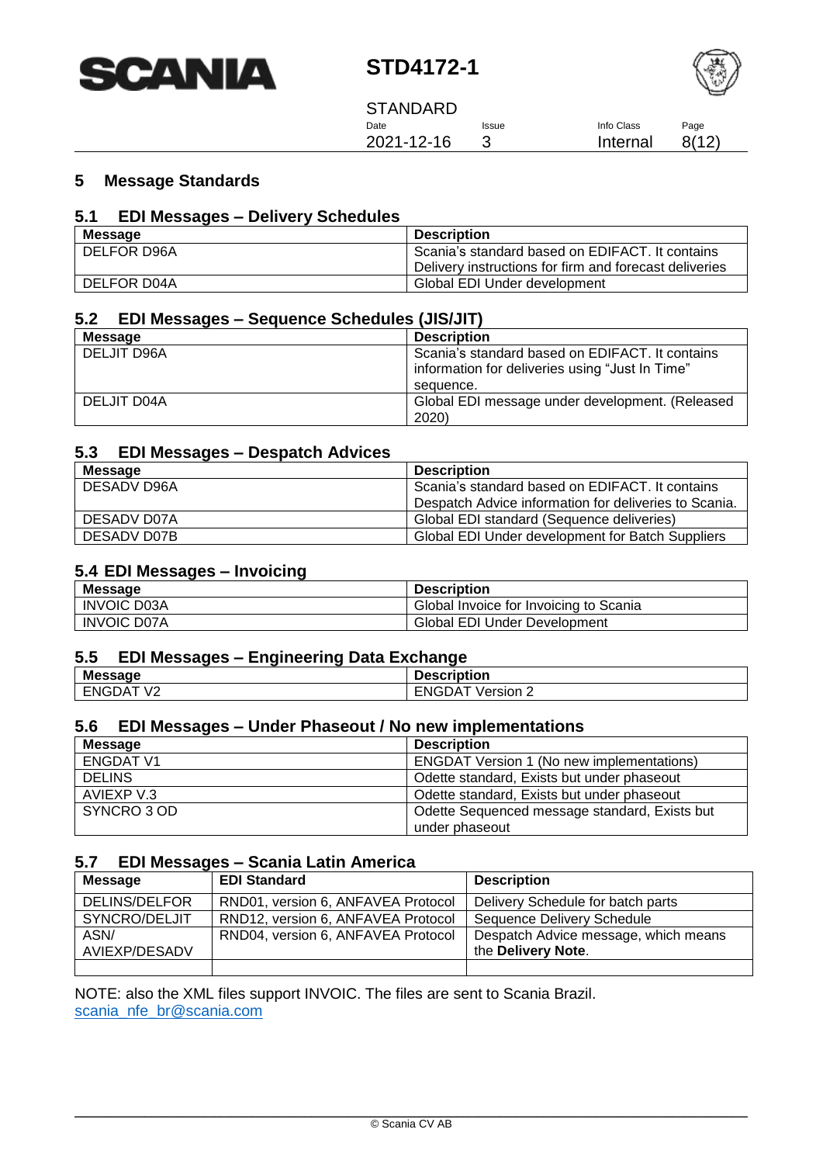



**STANDARD** Date 2021-12-16 Issue 3 Info Class Internal Page

8(12)

## <span id="page-7-0"></span>**5 Message Standards**

## <span id="page-7-1"></span>**5.1 EDI Messages – Delivery Schedules**

| <b>Message</b>     | <b>Description</b>                                     |
|--------------------|--------------------------------------------------------|
| DELFOR D96A        | Scania's standard based on EDIFACT. It contains        |
|                    | Delivery instructions for firm and forecast deliveries |
| <b>DELFOR D04A</b> | Global EDI Under development                           |

## <span id="page-7-2"></span>**5.2 EDI Messages – Sequence Schedules (JIS/JIT)**

| Message            | <b>Description</b>                              |
|--------------------|-------------------------------------------------|
| <b>DELJIT D96A</b> | Scania's standard based on EDIFACT. It contains |
|                    | information for deliveries using "Just In Time" |
|                    | sequence.                                       |
| DELJIT D04A        | Global EDI message under development. (Released |
|                    | 2020)                                           |

#### <span id="page-7-3"></span>**5.3 EDI Messages – Despatch Advices**

| <b>Message</b> | <b>Description</b>                                    |
|----------------|-------------------------------------------------------|
| DESADV D96A    | Scania's standard based on EDIFACT. It contains       |
|                | Despatch Advice information for deliveries to Scania. |
| DESADV D07A    | Global EDI standard (Sequence deliveries)             |
| DESADV D07B    | Global EDI Under development for Batch Suppliers      |

#### <span id="page-7-4"></span>**5.4 EDI Messages – Invoicing**

| <b>Message</b>     | <b>Description</b>                     |
|--------------------|----------------------------------------|
| <b>INVOIC D03A</b> | Global Invoice for Invoicing to Scania |
| <b>INVOIC D07A</b> | <b>Global EDI Under Development</b>    |

#### <span id="page-7-5"></span>**5.5 EDI Messages – Engineering Data Exchange**

| <b>Message</b>                           | <b>Description</b>                 |
|------------------------------------------|------------------------------------|
| V <sub>2</sub><br>$\Delta$<br>⊢NGì<br>ັບ | ENGDAT \<br>$\cdot$ Version $\sim$ |

## <span id="page-7-6"></span>**5.6 EDI Messages – Under Phaseout / No new implementations**

| <b>Message</b>   | <b>Description</b>                               |
|------------------|--------------------------------------------------|
| <b>ENGDAT V1</b> | <b>ENGDAT Version 1 (No new implementations)</b> |
| <b>DELINS</b>    | Odette standard, Exists but under phaseout       |
| AVIEXP V.3       | Odette standard, Exists but under phaseout       |
| SYNCRO 3 OD      | Odette Sequenced message standard, Exists but    |
|                  | under phaseout                                   |

#### <span id="page-7-7"></span>**5.7 EDI Messages – Scania Latin America**

| <b>Message</b> | <b>EDI Standard</b>                | <b>Description</b>                   |
|----------------|------------------------------------|--------------------------------------|
| DELINS/DELFOR  | RND01, version 6, ANFAVEA Protocol | Delivery Schedule for batch parts    |
| SYNCRO/DELJIT  | RND12, version 6, ANFAVEA Protocol | Sequence Delivery Schedule           |
| ASN/           | RND04, version 6, ANFAVEA Protocol | Despatch Advice message, which means |
| AVIEXP/DESADV  |                                    | the Delivery Note.                   |
|                |                                    |                                      |

NOTE: also the XML files support INVOIC. The files are sent to Scania Brazil. scania nfe\_br@scania.com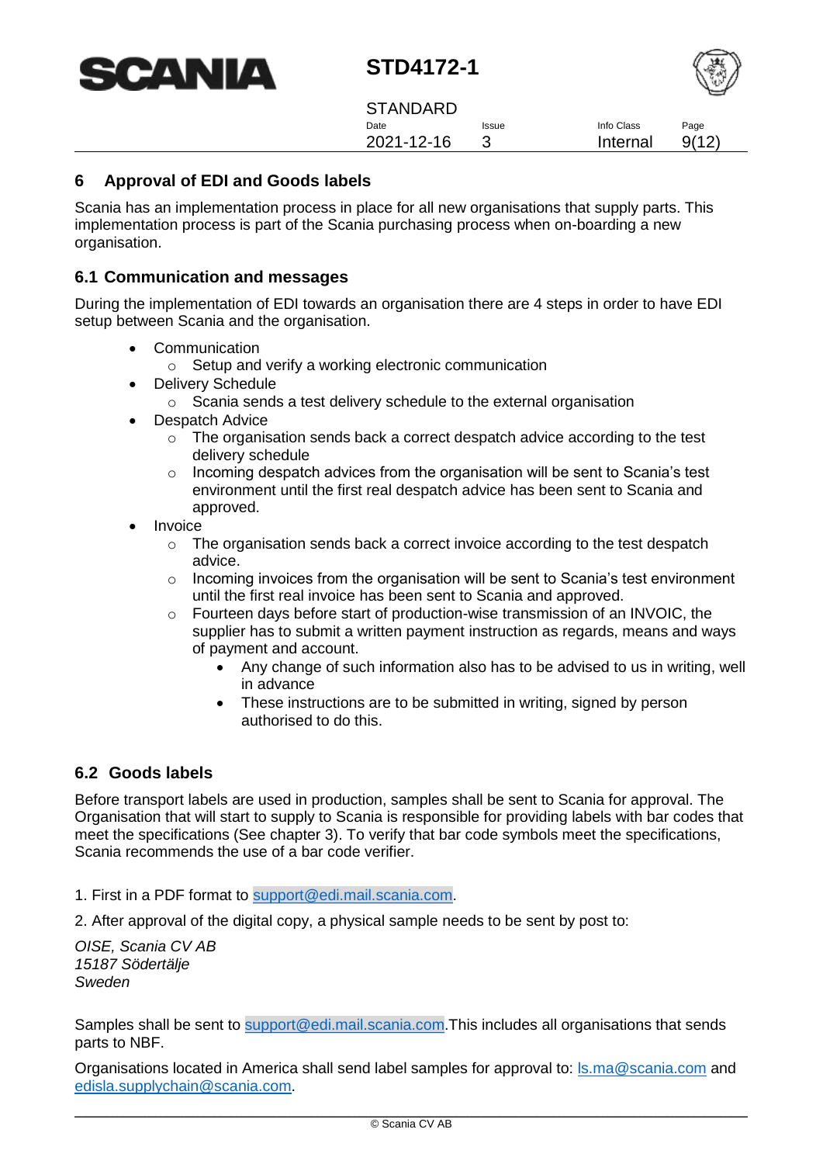



**STANDARD** Date 2021-12-16 Issue 3

Info Class Internal Page 9(12)

## <span id="page-8-0"></span>**6 Approval of EDI and Goods labels**

Scania has an implementation process in place for all new organisations that supply parts. This implementation process is part of the Scania purchasing process when on-boarding a new organisation.

#### <span id="page-8-1"></span>**6.1 Communication and messages**

During the implementation of EDI towards an organisation there are 4 steps in order to have EDI setup between Scania and the organisation.

- Communication
	- o Setup and verify a working electronic communication
- Delivery Schedule
	- o Scania sends a test delivery schedule to the external organisation
- Despatch Advice
	- o The organisation sends back a correct despatch advice according to the test delivery schedule
	- $\circ$  Incoming despatch advices from the organisation will be sent to Scania's test environment until the first real despatch advice has been sent to Scania and approved.
- **Invoice** 
	- $\circ$  The organisation sends back a correct invoice according to the test despatch advice.
	- $\circ$  Incoming invoices from the organisation will be sent to Scania's test environment until the first real invoice has been sent to Scania and approved.
	- $\circ$  Fourteen days before start of production-wise transmission of an INVOIC, the supplier has to submit a written payment instruction as regards, means and ways of payment and account.
		- Any change of such information also has to be advised to us in writing, well in advance
		- These instructions are to be submitted in writing, signed by person authorised to do this.

## <span id="page-8-2"></span>**6.2 Goods labels**

Before transport labels are used in production, samples shall be sent to Scania for approval. The Organisation that will start to supply to Scania is responsible for providing labels with bar codes that meet the specifications (See chapter 3). To verify that bar code symbols meet the specifications, Scania recommends the use of a bar code verifier.

1. First in a PDF format to [support@edi.mail.scania.com.](mailto:support@edi.mail.scania.com)

2. After approval of the digital copy, a physical sample needs to be sent by post to:

*OISE, Scania CV AB 15187 Södertälje Sweden* 

Samples shall be sent to [support@edi.mail.scania.com.](mailto:support@edi.mail.scania.com) This includes all organisations that sends parts to NBF.

Organisations located in America shall send label samples for approval to: [ls.ma@scania.com](mailto:ls.ma@scania.com) and [edisla.supplychain@scania.com.](mailto:edisla.supplychain@scania.com)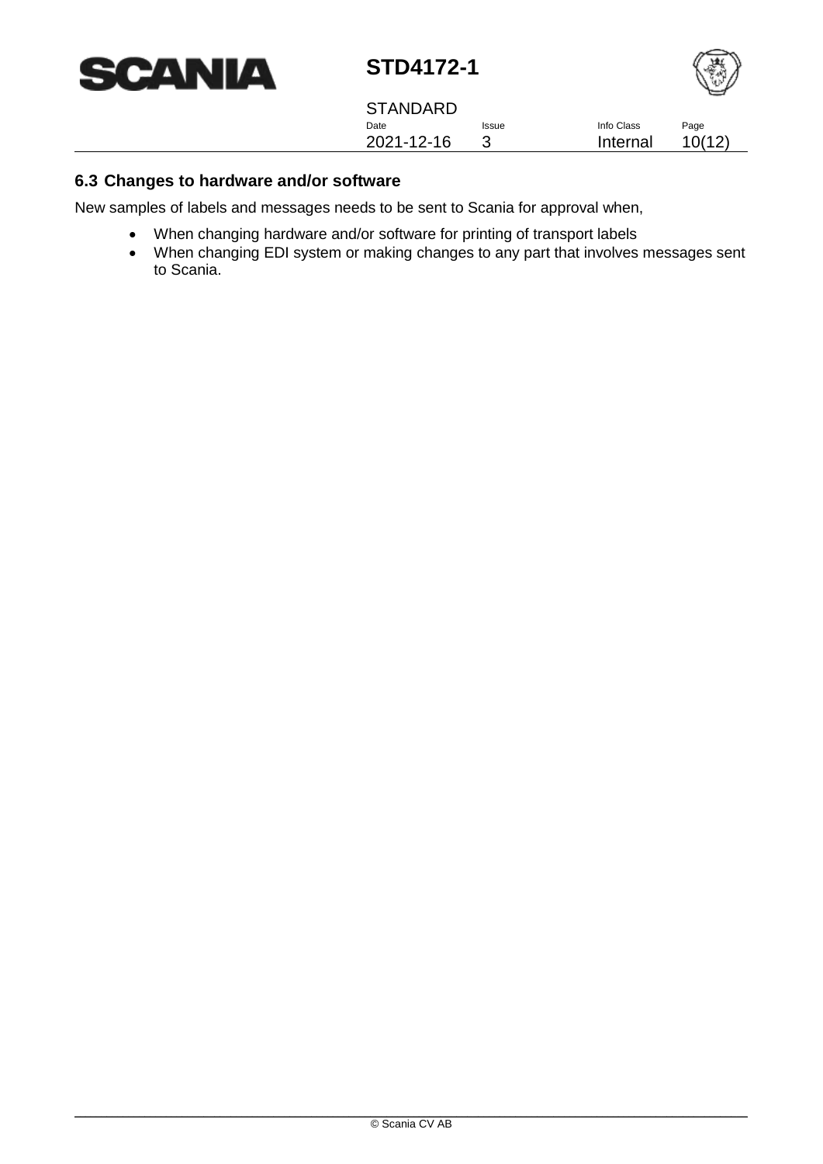



**STANDARD** Date 2021-12-16 Issue 3 Info Class Internal

Page 10(12)

### <span id="page-9-0"></span>**6.3 Changes to hardware and/or software**

New samples of labels and messages needs to be sent to Scania for approval when,

- When changing hardware and/or software for printing of transport labels
- When changing EDI system or making changes to any part that involves messages sent to Scania.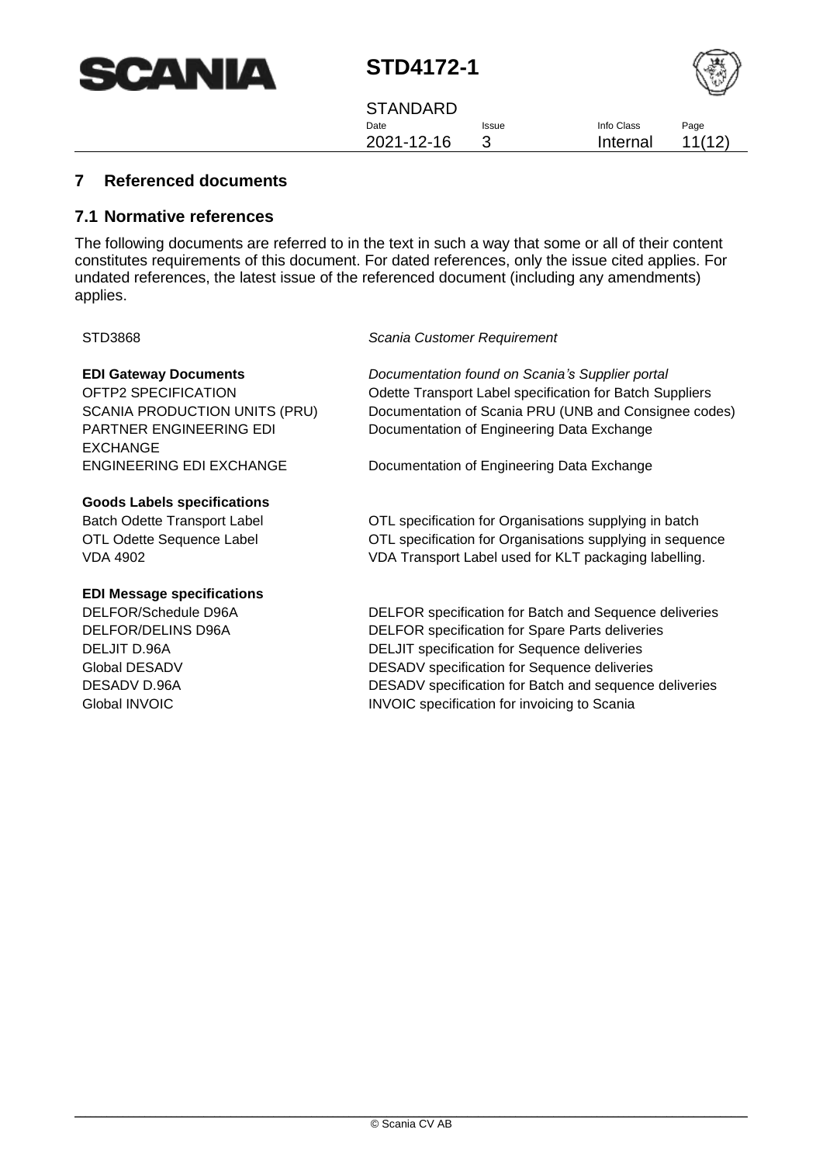



**STANDARD** Date 2021-12-16 Issue 3

Info Class Internal Page 11(12)

## <span id="page-10-0"></span>**7 Referenced documents**

#### <span id="page-10-1"></span>**7.1 Normative references**

The following documents are referred to in the text in such a way that some or all of their content constitutes requirements of this document. For dated references, only the issue cited applies. For undated references, the latest issue of the referenced document (including any amendments) applies.

#### STD3868 *Scania Customer Requirement*

PARTNER ENGINEERING EDI EXCHANGE

#### **Goods Labels specifications**

#### **EDI Message specifications**

**EDI Gateway Documents** *Documentation found on Scania's Supplier portal* OFTP2 SPECIFICATION Odette Transport Label specification for Batch Suppliers SCANIA PRODUCTION UNITS (PRU) Documentation of Scania PRU (UNB and Consignee codes) Documentation of Engineering Data Exchange

ENGINEERING EDI EXCHANGE Documentation of Engineering Data Exchange

Batch Odette Transport Label **OTL** specification for Organisations supplying in batch OTL Odette Sequence Label OTL specification for Organisations supplying in sequence VDA 4902 VDA Transport Label used for KLT packaging labelling.

DELFOR/Schedule D96A DELFOR specification for Batch and Sequence deliveries DELFOR/DELINS D96A DELFOR specification for Spare Parts deliveries DELJIT D.96A **DELJIT** specification for Sequence deliveries Global DESADV **DESADV** Specification for Sequence deliveries DESADV D.96A DESADV specification for Batch and sequence deliveries Global INVOIC **INVOIC INVOIC** specification for invoicing to Scania